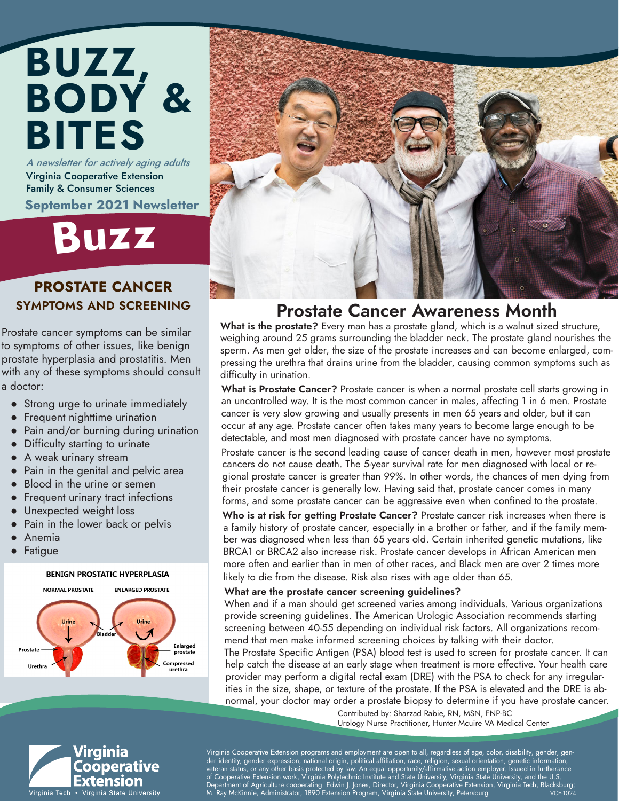### A newsletter for actively aging adults BUZZ, BODY & BITES

Virginia Cooperative Extension Family & Consumer Sciences September 2021 Newsletter

### Buz<sup>z</sup>

### PROSTATE CANCER SYMPTOMS AND SCREENING

Prostate cancer symptoms can be similar to symptoms of other issues, like benign prostate hyperplasia and prostatitis. Men with any of these symptoms should consult a doctor:

- Strong urge to urinate immediately
- Frequent nighttime urination
- Pain and/or burning during urination
- Difficulty starting to urinate
- A weak urinary stream
- Pain in the genital and pelvic area
- Blood in the urine or semen
- Frequent urinary tract infections
- Unexpected weight loss
- Pain in the lower back or pelvis
- **Anemia**
- **Fatigue**

#### **BENIGN PROSTATIC HYPERPLASIA**



Virginia

Cooperative Extension



### Prostate Cancer Awareness Month

What is the prostate? Every man has a prostate gland, which is a walnut sized structure, weighing around 25 grams surrounding the bladder neck. The prostate gland nourishes the sperm. As men get older, the size of the prostate increases and can become enlarged, compressing the urethra that drains urine from the bladder, causing common symptoms such as difficulty in urination.

What is Prostate Cancer? Prostate cancer is when a normal prostate cell starts growing in an uncontrolled way. It is the most common cancer in males, affecting 1 in 6 men. Prostate cancer is very slow growing and usually presents in men 65 years and older, but it can occur at any age. Prostate cancer often takes many years to become large enough to be detectable, and most men diagnosed with prostate cancer have no symptoms.

Prostate cancer is the second leading cause of cancer death in men, however most prostate cancers do not cause death. The 5-year survival rate for men diagnosed with local or regional prostate cancer is greater than 99%. In other words, the chances of men dying from their prostate cancer is generally low. Having said that, prostate cancer comes in many forms, and some prostate cancer can be aggressive even when confined to the prostate.

Who is at risk for getting Prostate Cancer? Prostate cancer risk increases when there is a family history of prostate cancer, especially in a brother or father, and if the family member was diagnosed when less than 65 years old. Certain inherited genetic mutations, like BRCA1 or BRCA2 also increase risk. Prostate cancer develops in African American men more often and earlier than in men of other races, and Black men are over 2 times more likely to die from the disease. Risk also rises with age older than 65.

#### What are the prostate cancer screening guidelines?

When and if a man should get screened varies among individuals. Various organizations provide screening guidelines. The American Urologic Association recommends starting screening between 40-55 depending on individual risk factors. All organizations recommend that men make informed screening choices by talking with their doctor.

The Prostate Specific Antigen (PSA) blood test is used to screen for prostate cancer. It can help catch the disease at an early stage when treatment is more effective. Your health care provider may perform a digital rectal exam (DRE) with the PSA to check for any irregularities in the size, shape, or texture of the prostate. If the PSA is elevated and the DRE is abnormal, your doctor may order a prostate biopsy to determine if you have prostate cancer.

Contributed by: Sharzad Rabie, RN, MSN, FNP-BC Urology Nurse Practitioner, Hunter Mcuire VA Medical Center

Virginia Cooperative Extension programs and employment are open to all, regardless of age, color, disability, gender, gender identity, gender expression, national origin, political affiliation, race, religion, sexual orientation, genetic information, veteran status, or any other basis protected by law. An equal opportunity/affirmative action employer. Issued in furtherance of Cooperative Extension work, Virginia Polytechnic Institute and State University, Virginia State University, and the U.S. , Department of Agriculture cooperating. Edwin J. Jones, Director, Virginia Cooperative Extension, Virginia Tech, Blacksburg;<br>M. Ray McKinnie, Administrator, 1890 Extension Program, Virginia State University, Petersburg